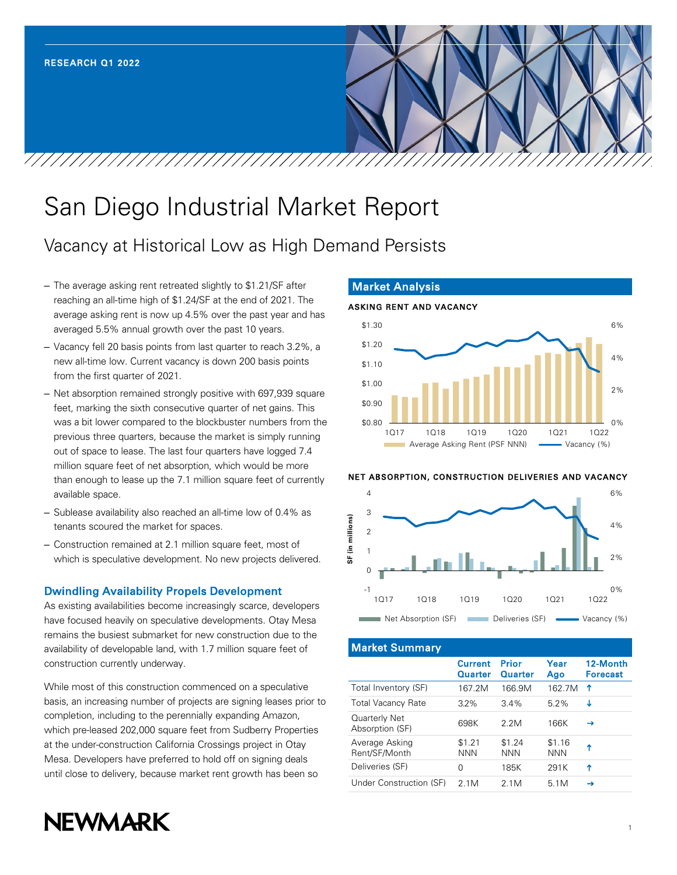# San Diego Industrial Market Report

# Vacancy at Historical Low as High Demand Persists

– The average asking rent retreated slightly to \$1.21/SF after reaching an all-time high of \$1.24/SF at the end of 2021. The average asking rent is now up 4.5% over the past year and has averaged 5.5% annual growth over the past 10 years.

7/7/7/7/7/7/7/7/7/7/7/7/7/7/7/7/7/

- Vacancy fell 20 basis points from last quarter to reach 3.2%, a new all-time low. Current vacancy is down 200 basis points from the first quarter of 2021.
- Net absorption remained strongly positive with 697,939 square feet, marking the sixth consecutive quarter of net gains. This was a bit lower compared to the blockbuster numbers from the previous three quarters, because the market is simply running out of space to lease. The last four quarters have logged 7.4 million square feet of net absorption, which would be more than enough to lease up the 7.1 million square feet of currently available space.
- Sublease availability also reached an all-time low of 0.4% as tenants scoured the market for spaces.
- Construction remained at 2.1 million square feet, most of which is speculative development. No new projects delivered.

# Dwindling Availability Propels Development

As existing availabilities become increasingly scarce, developers have focused heavily on speculative developments. Otay Mesa remains the busiest submarket for new construction due to the availability of developable land, with 1.7 million square feet of construction currently underway.

While most of this construction commenced on a speculative basis, an increasing number of projects are signing leases prior to completion, including to the perennially expanding Amazon, which pre-leased 202,000 square feet from Sudberry Properties at the under-construction California Crossings project in Otay Mesa. Developers have preferred to hold off on signing deals until close to delivery, because market rent growth has been so



#### Market Analysis

 $\frac{\sqrt{2}}{2}$ 

#### ASKING RENT AND VACANCY



#### NET ABSORPTION, CONSTRUCTION DELIVERIES AND VACANCY



#### Market Summary

|                                  | <b>Current</b><br><b>Quarter</b> | Prior<br><b>Quarter</b> | Year<br>Ago          | 12-Month<br><b>Forecast</b> |
|----------------------------------|----------------------------------|-------------------------|----------------------|-----------------------------|
| Total Inventory (SF)             | 167.2M                           | 166.9M                  | 162.7M               | Ϋ                           |
| <b>Total Vacancy Rate</b>        | $3.2\%$                          | 3.4%                    | 5.2%                 | J                           |
| Quarterly Net<br>Absorption (SF) | 698K                             | 2.2M                    | 166K                 | →                           |
| Average Asking<br>Rent/SF/Month  | \$1.21<br><b>NNN</b>             | \$1.24<br><b>NNN</b>    | \$1.16<br><b>NNN</b> | Ϋ                           |
| Deliveries (SF)                  | O                                | 185K                    | 291K                 | T                           |
| Under Construction (SF)          | 2 1 M                            | 2 1 M                   | 5.1M                 | →                           |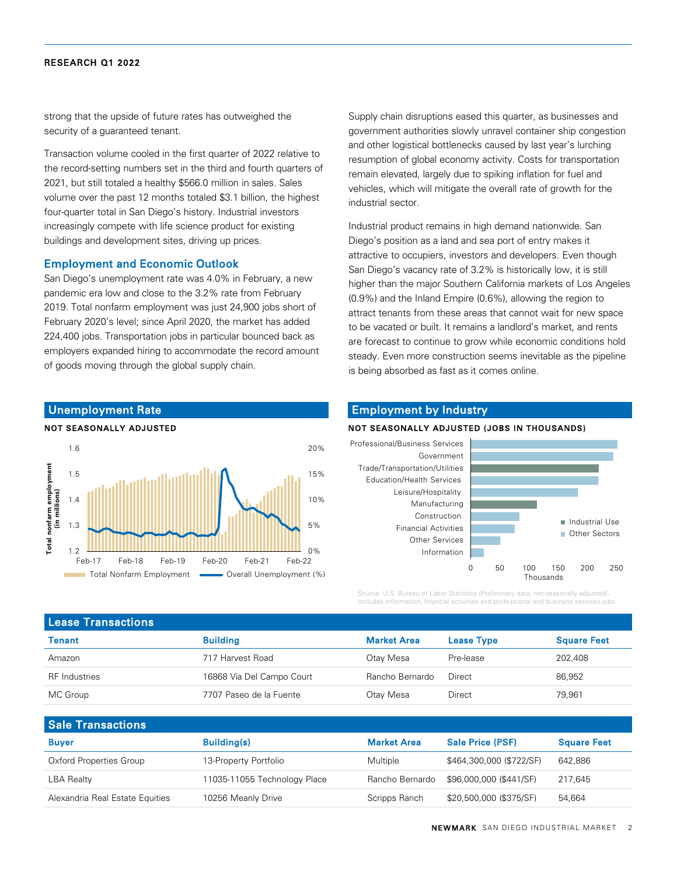strong that the upside of future rates has outweighed the security of a guaranteed tenant.

Transaction volume cooled in the first quarter of 2022 relative to the record-setting numbers set in the third and fourth quarters of 2021, but still totaled a healthy \$566.0 million in sales. Sales volume over the past 12 months totaled \$3.1 billion, the highest four-quarter total in San Diego's history. Industrial investors increasingly compete with life science product for existing buildings and development sites, driving up prices.

#### Employment and Economic Outlook

San Diego's unemployment rate was 4.0% in February, a new pandemic era low and close to the 3.2% rate from February 2019. Total nonfarm employment was just 24,900 jobs short of February 2020's level; since April 2020, the market has added 224,400 jobs. Transportation jobs in particular bounced back as employers expanded hiring to accommodate the record amount of goods moving through the global supply chain.

Feb-17 Feb-18 Feb-19 Feb-20 Feb-21 Feb-22

Total Nonfarm Employment **Consumer Containst Consumer (%)** 

Supply chain disruptions eased this quarter, as businesses and government authorities slowly unravel container ship congestion and other logistical bottlenecks caused by last year's lurching resumption of global economy activity. Costs for transportation remain elevated, largely due to spiking inflation for fuel and vehicles, which will mitigate the overall rate of growth for the industrial sector.

Industrial product remains in high demand nationwide. San Diego's position as a land and sea port of entry makes it attractive to occupiers, investors and developers. Even though San Diego's vacancy rate of 3.2% is historically low, it is still higher than the major Southern California markets of Los Angeles (0.9%) and the Inland Empire (0.6%), allowing the region to attract tenants from these areas that cannot wait for new space to be vacated or built. It remains a landlord's market, and rents are forecast to continue to grow while economic conditions hold steady. Even more construction seems inevitable as the pipeline is being absorbed as fast as it comes online.

### Employment by Industry

#### NOT SEASONALLY ADJUSTED (JOBS IN THOUSANDS)



Source: U.S. Bureau of Labor Statistics (Preliminary data, not seasonally adjusted). Includes information, financial activities and professional and business services jobs.

| <b>Lease Transactions</b> |                           |                    |                   |                    |  |  |  |  |
|---------------------------|---------------------------|--------------------|-------------------|--------------------|--|--|--|--|
| Tenant                    | <b>Building</b>           | <b>Market Area</b> | <b>Lease Type</b> | <b>Square Feet</b> |  |  |  |  |
| Amazon                    | 717 Harvest Road          | Otay Mesa          | Pre-lease         | 202.408            |  |  |  |  |
| <b>RF</b> Industries      | 16868 Via Del Campo Court | Rancho Bernardo    | Direct            | 86,952             |  |  |  |  |
| MC Group                  | 7707 Paseo de la Fuente   | Otay Mesa          | Direct            | 79,961             |  |  |  |  |
|                           |                           |                    |                   |                    |  |  |  |  |

 $0%$ 

5%

10%

15%

20%

| <b>Sale Transactions</b>        |                              |                    |                          |                    |
|---------------------------------|------------------------------|--------------------|--------------------------|--------------------|
| <b>Buver</b>                    | <b>Building(s)</b>           | <b>Market Area</b> | <b>Sale Price (PSF)</b>  | <b>Square Feet</b> |
| Oxford Properties Group         | 13-Property Portfolio        | Multiple           | \$464,300,000 (\$722/SF) | 642,886            |
| <b>LBA Realty</b>               | 11035-11055 Technology Place | Rancho Bernardo    | \$96,000,000 (\$441/SF)  | 217.645            |
| Alexandria Real Estate Equities | 10256 Meanly Drive           | Scripps Ranch      | \$20,500,000 (\$375/SF)  | 54,664             |



1.2

1.3

1.4

**Total nonfarm employment (in millions)**

Total nonfarm employment<br>(in millions)

1.5

1.6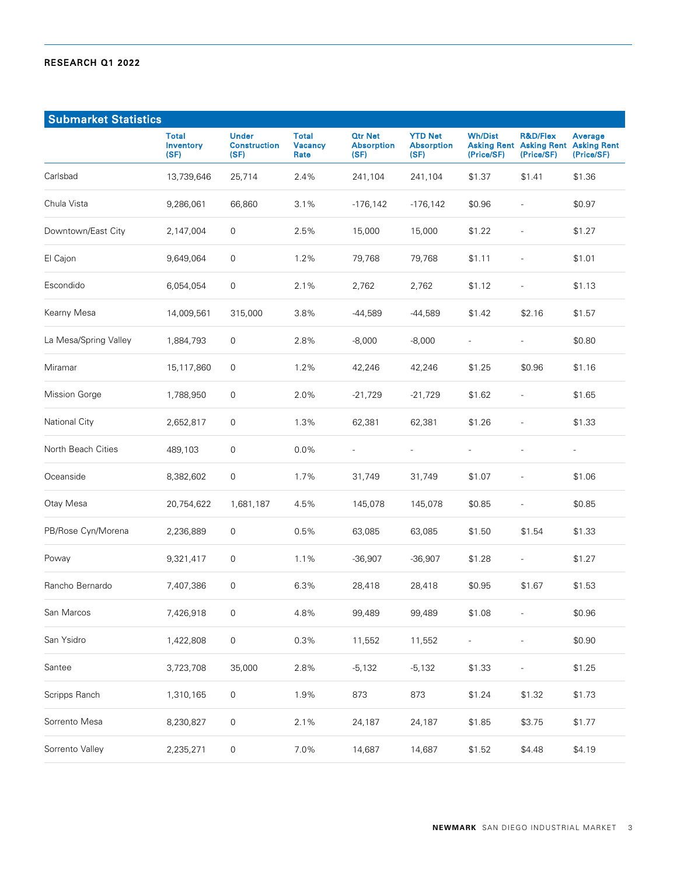| <b>Submarket Statistics</b> |                                   |                                             |                                        |                                             |                                             |                              |                                                                     |                                             |
|-----------------------------|-----------------------------------|---------------------------------------------|----------------------------------------|---------------------------------------------|---------------------------------------------|------------------------------|---------------------------------------------------------------------|---------------------------------------------|
|                             | <b>Total</b><br>Inventory<br>(SF) | <b>Under</b><br><b>Construction</b><br>(SF) | <b>Total</b><br><b>Vacancy</b><br>Rate | <b>Qtr Net</b><br><b>Absorption</b><br>(SF) | <b>YTD Net</b><br><b>Absorption</b><br>(SF) | <b>Wh/Dist</b><br>(Price/SF) | <b>R&amp;D/Flex</b><br><b>Asking Rent Asking Rent</b><br>(Price/SF) | Average<br><b>Asking Rent</b><br>(Price/SF) |
| Carlsbad                    | 13,739,646                        | 25,714                                      | 2.4%                                   | 241,104                                     | 241,104                                     | \$1.37                       | \$1.41                                                              | \$1.36                                      |
| Chula Vista                 | 9,286,061                         | 66,860                                      | 3.1%                                   | $-176, 142$                                 | $-176, 142$                                 | \$0.96                       | $\overline{a}$                                                      | \$0.97                                      |
| Downtown/East City          | 2,147,004                         | 0                                           | 2.5%                                   | 15,000                                      | 15,000                                      | \$1.22                       |                                                                     | \$1.27                                      |
| El Cajon                    | 9,649,064                         | 0                                           | 1.2%                                   | 79,768                                      | 79,768                                      | \$1.11                       | $\overline{a}$                                                      | \$1.01                                      |
| Escondido                   | 6,054,054                         | 0                                           | 2.1%                                   | 2,762                                       | 2,762                                       | \$1.12                       | ÷,                                                                  | \$1.13                                      |
| Kearny Mesa                 | 14,009,561                        | 315,000                                     | 3.8%                                   | -44,589                                     | -44,589                                     | \$1.42                       | \$2.16                                                              | \$1.57                                      |
| La Mesa/Spring Valley       | 1,884,793                         | 0                                           | 2.8%                                   | $-8,000$                                    | $-8,000$                                    | $\overline{\phantom{a}}$     | $\bar{ }$                                                           | \$0.80                                      |
| Miramar                     | 15,117,860                        | 0                                           | 1.2%                                   | 42,246                                      | 42,246                                      | \$1.25                       | \$0.96                                                              | \$1.16                                      |
| <b>Mission Gorge</b>        | 1,788,950                         | 0                                           | 2.0%                                   | $-21,729$                                   | $-21,729$                                   | \$1.62                       | $\overline{\phantom{a}}$                                            | \$1.65                                      |
| National City               | 2,652,817                         | 0                                           | 1.3%                                   | 62,381                                      | 62,381                                      | \$1.26                       | $\overline{a}$                                                      | \$1.33                                      |
| North Beach Cities          | 489,103                           | 0                                           | 0.0%                                   | $\overline{a}$                              | $\overline{\phantom{a}}$                    | $\overline{\phantom{a}}$     | $\overline{a}$                                                      | $\overline{\phantom{a}}$                    |
| Oceanside                   | 8,382,602                         | 0                                           | 1.7%                                   | 31,749                                      | 31,749                                      | \$1.07                       |                                                                     | \$1.06                                      |
| Otay Mesa                   | 20,754,622                        | 1,681,187                                   | 4.5%                                   | 145,078                                     | 145,078                                     | \$0.85                       | $\overline{\phantom{a}}$                                            | \$0.85                                      |
| PB/Rose Cyn/Morena          | 2,236,889                         | 0                                           | 0.5%                                   | 63,085                                      | 63,085                                      | \$1.50                       | \$1.54                                                              | \$1.33                                      |
| Poway                       | 9,321,417                         | 0                                           | 1.1%                                   | $-36,907$                                   | $-36,907$                                   | \$1.28                       | $\overline{\phantom{a}}$                                            | \$1.27                                      |
| Rancho Bernardo             | 7,407,386                         | 0                                           | 6.3%                                   | 28,418                                      | 28,418                                      | \$0.95                       | \$1.67                                                              | \$1.53                                      |
| San Marcos                  | 7,426,918                         | $\mathsf{O}\xspace$                         | 4.8%                                   | 99,489                                      | 99,489                                      | \$1.08                       |                                                                     | \$0.96                                      |
| San Ysidro                  | 1,422,808                         | $\mathsf{O}\xspace$                         | 0.3%                                   | 11,552                                      | 11,552                                      | $\overline{\phantom{a}}$     | ÷,                                                                  | \$0.90                                      |
| Santee                      | 3,723,708                         | 35,000                                      | 2.8%                                   | $-5,132$                                    | $-5,132$                                    | \$1.33                       | $\overline{a}$                                                      | \$1.25                                      |
| Scripps Ranch               | 1,310,165                         | $\mathsf{O}\xspace$                         | 1.9%                                   | 873                                         | 873                                         | \$1.24                       | \$1.32                                                              | \$1.73                                      |
| Sorrento Mesa               | 8,230,827                         | $\boldsymbol{0}$                            | 2.1%                                   | 24,187                                      | 24,187                                      | \$1.85                       | \$3.75                                                              | \$1.77                                      |
| Sorrento Valley             | 2,235,271                         | $\mathsf 0$                                 | 7.0%                                   | 14,687                                      | 14,687                                      | \$1.52                       | \$4.48                                                              | \$4.19                                      |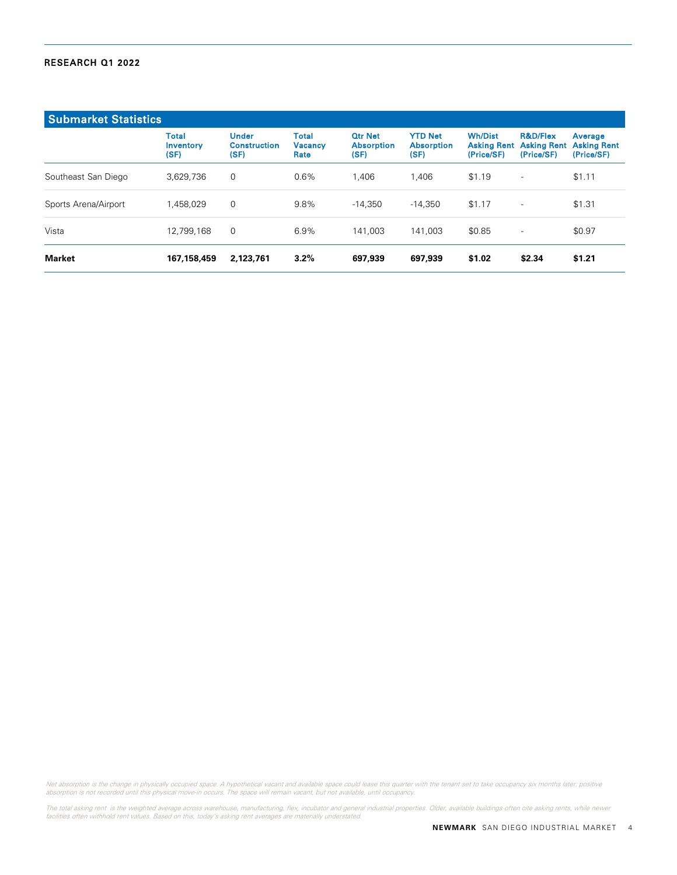| <b>Submarket Statistics</b> |                                   |                                             |                                        |                                             |                                             |                                                    |                                                         |                                             |
|-----------------------------|-----------------------------------|---------------------------------------------|----------------------------------------|---------------------------------------------|---------------------------------------------|----------------------------------------------------|---------------------------------------------------------|---------------------------------------------|
|                             | <b>Total</b><br>Inventory<br>(SF) | <b>Under</b><br><b>Construction</b><br>(SF) | <b>Total</b><br><b>Vacancy</b><br>Rate | <b>Qtr Net</b><br><b>Absorption</b><br>(SF) | <b>YTD Net</b><br><b>Absorption</b><br>(SF) | <b>Wh/Dist</b><br><b>Asking Rent</b><br>(Price/SF) | <b>R&amp;D/Flex</b><br><b>Asking Rent</b><br>(Price/SF) | Average<br><b>Asking Rent</b><br>(Price/SF) |
| Southeast San Diego         | 3.629.736                         | $\mathbf 0$                                 | $0.6\%$                                | 1.406                                       | 1.406                                       | \$1.19                                             | $\overline{\phantom{a}}$                                | \$1.11                                      |
| Sports Arena/Airport        | 1,458,029                         | 0                                           | 9.8%                                   | $-14.350$                                   | $-14.350$                                   | \$1.17                                             | $\overline{\phantom{a}}$                                | \$1.31                                      |
| Vista                       | 12,799,168                        | $\mathbf 0$                                 | 6.9%                                   | 141.003                                     | 141.003                                     | \$0.85                                             | $\overline{\phantom{a}}$                                | \$0.97                                      |
| Market                      | 167, 158, 459                     | 2,123,761                                   | 3.2%                                   | 697,939                                     | 697,939                                     | \$1.02                                             | \$2.34                                                  | \$1.21                                      |

Net absorption is the change in physically occupied space. A hypothetical vacant and available space could lease this quarter with the tenant set to take occupancy six months later; positive<br>absorption is not recorded unti

The total asking rent is the weighted average across warehouse, manufacturing, flex, incubator and general industrial properties. Older, available buildings often cite asking rents, while newer<br>facilities often withhold re